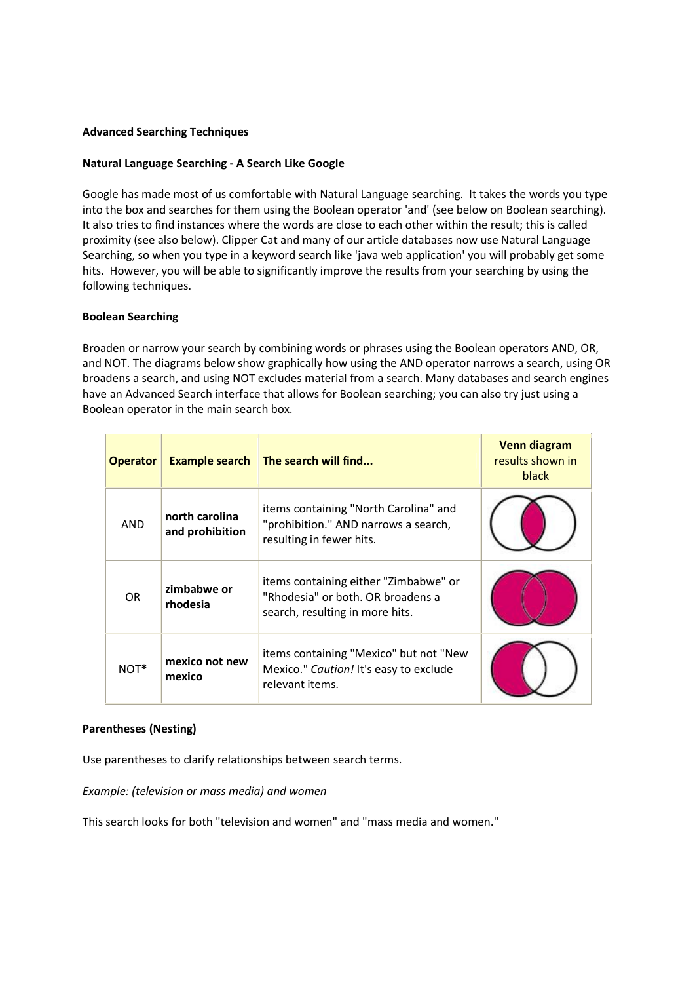# **Advanced Searching Techniques**

## **Natural Language Searching - A Search Like Google**

Google has made most of us comfortable with Natural Language searching. It takes the words you type into the box and searches for them using the Boolean operator 'and' (see below on Boolean searching). It also tries to find instances where the words are close to each other within the result; this is called proximity (see also below). Clipper Cat and many of our article databases now use Natural Language Searching, so when you type in a keyword search like 'java web application' you will probably get some hits. However, you will be able to significantly improve the results from your searching by using the following techniques.

#### **Boolean Searching**

Broaden or narrow your search by combining words or phrases using the Boolean operators AND, OR, and NOT. The diagrams below show graphically how using the AND operator narrows a search, using OR broadens a search, and using NOT excludes material from a search. Many databases and search engines have an Advanced Search interface that allows for Boolean searching; you can also try just using a Boolean operator in the main search box.

| <b>Operator</b> | <b>Example search</b>             | $\vert$ The search will find                                                                                  | <b>Venn diagram</b><br>results shown in<br>black |
|-----------------|-----------------------------------|---------------------------------------------------------------------------------------------------------------|--------------------------------------------------|
| <b>AND</b>      | north carolina<br>and prohibition | items containing "North Carolina" and<br>"prohibition." AND narrows a search,<br>resulting in fewer hits.     |                                                  |
| <b>OR</b>       | zimbabwe or<br>rhodesia           | items containing either "Zimbabwe" or<br>"Rhodesia" or both. OR broadens a<br>search, resulting in more hits. |                                                  |
| NOT*            | mexico not new<br>mexico          | items containing "Mexico" but not "New<br>Mexico." Caution! It's easy to exclude<br>relevant items.           |                                                  |

## **Parentheses (Nesting)**

Use parentheses to clarify relationships between search terms.

*Example: (television or mass media) and women*

This search looks for both "television and women" and "mass media and women."